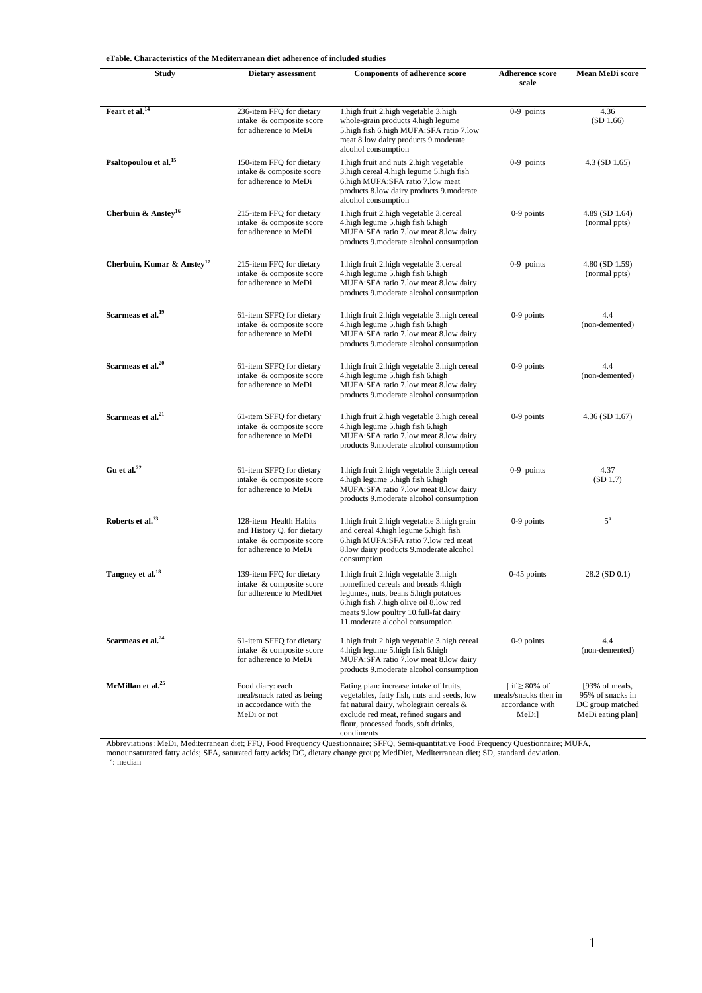**eTable. Characteristics of the Mediterranean diet adherence of included studies**

| <b>Study</b>                           | Dietary assessment                                                                                        | <b>Components of adherence score</b>                                                                                                                                                                                                               | <b>Adherence score</b><br>scale                                                | Mean MeDi score                                                             |
|----------------------------------------|-----------------------------------------------------------------------------------------------------------|----------------------------------------------------------------------------------------------------------------------------------------------------------------------------------------------------------------------------------------------------|--------------------------------------------------------------------------------|-----------------------------------------------------------------------------|
|                                        |                                                                                                           |                                                                                                                                                                                                                                                    |                                                                                |                                                                             |
| Feart et al. <sup>14</sup>             | 236-item FFQ for dietary<br>intake & composite score<br>for adherence to MeDi                             | 1. high fruit 2. high vegetable 3. high<br>whole-grain products 4. high legume<br>5. high fish 6. high MUFA: SFA ratio 7. low<br>meat 8.low dairy products 9.moderate<br>alcohol consumption                                                       | $0-9$ points                                                                   | 4.36<br>(SD 1.66)                                                           |
| Psaltopoulou et al. <sup>15</sup>      | 150-item FFQ for dietary<br>intake & composite score<br>for adherence to MeDi                             | 1. high fruit and nuts 2. high vegetable<br>3. high cereal 4. high legume 5. high fish<br>6. high MUFA:SFA ratio 7. low meat<br>products 8.1ow dairy products 9. moderate<br>alcohol consumption                                                   | $0-9$ points                                                                   | $4.3$ (SD 1.65)                                                             |
| Cherbuin & Anstey <sup>16</sup>        | 215-item FFQ for dietary<br>intake & composite score<br>for adherence to MeDi                             | 1. high fruit 2. high vegetable 3. cereal<br>4. high legume 5. high fish 6. high<br>MUFA:SFA ratio 7.low meat 8.low dairy<br>products 9. moderate alcohol consumption                                                                              | $0-9$ points                                                                   | 4.89 (SD 1.64)<br>(normal ppts)                                             |
| Cherbuin, Kumar & Anstey <sup>17</sup> | 215-item FFQ for dietary<br>intake & composite score<br>for adherence to MeDi                             | 1. high fruit 2. high vegetable 3. cereal<br>4. high legume 5. high fish 6. high<br>MUFA:SFA ratio 7.low meat 8.low dairy<br>products 9. moderate alcohol consumption                                                                              | $0-9$ points                                                                   | 4.80 (SD 1.59)<br>(normal ppts)                                             |
| Scarmeas et al. <sup>19</sup>          | 61-item SFFQ for dietary<br>intake & composite score<br>for adherence to MeDi                             | 1. high fruit 2. high vegetable 3. high cereal<br>4. high legume 5. high fish 6. high<br>MUFA:SFA ratio 7.low meat 8.low dairy<br>products 9. moderate alcohol consumption                                                                         | 0-9 points                                                                     | 4.4<br>(non-demented)                                                       |
| Scarmeas et al. <sup>20</sup>          | 61-item SFFQ for dietary<br>intake & composite score<br>for adherence to MeDi                             | 1. high fruit 2. high vegetable 3. high cereal<br>4. high legume 5. high fish 6. high<br>MUFA:SFA ratio 7.low meat 8.low dairy<br>products 9. moderate alcohol consumption                                                                         | $0-9$ points                                                                   | 4.4<br>(non-demented)                                                       |
| Scarmeas et al. <sup>21</sup>          | 61-item SFFQ for dietary<br>intake & composite score<br>for adherence to MeDi                             | 1. high fruit 2. high vegetable 3. high cereal<br>4. high legume 5. high fish 6. high<br>MUFA:SFA ratio 7.low meat 8.low dairy<br>products 9. moderate alcohol consumption                                                                         | $0-9$ points                                                                   | $4.36$ (SD 1.67)                                                            |
| Gu et al. $^{22}$                      | 61-item SFFQ for dietary<br>intake & composite score<br>for adherence to MeDi                             | 1. high fruit 2. high vegetable 3. high cereal<br>4. high legume 5. high fish 6. high<br>MUFA:SFA ratio 7.low meat 8.low dairy<br>products 9. moderate alcohol consumption                                                                         | $0-9$ points                                                                   | 4.37<br>(SD 1.7)                                                            |
| Roberts et al. <sup>23</sup>           | 128-item Health Habits<br>and History Q. for dietary<br>intake & composite score<br>for adherence to MeDi | 1. high fruit 2. high vegetable 3. high grain<br>and cereal 4. high legume 5. high fish<br>6. high MUFA: SFA ratio 7. low red meat<br>8.low dairy products 9.moderate alcohol<br>consumption                                                       | $0-9$ points                                                                   | $5^{\mathrm{a}}$                                                            |
| Tangney et al. <sup>18</sup>           | 139-item FFQ for dietary<br>intake & composite score<br>for adherence to MedDiet                          | 1. high fruit 2. high vegetable 3. high<br>nonrefined cereals and breads 4.high<br>legumes, nuts, beans 5. high potatoes<br>6. high fish 7. high olive oil 8. low red<br>meats 9.low poultry 10.full-fat dairy<br>11. moderate alcohol consumption | $0-45$ points                                                                  | 28.2 (SD 0.1)                                                               |
| Scarmeas et al. <sup>24</sup>          | 61-item SFFQ for dietary<br>intake & composite score<br>for adherence to MeDi                             | 1. high fruit 2. high vegetable 3. high cereal<br>4. high legume 5. high fish 6. high<br>MUFA:SFA ratio 7.low meat 8.low dairy<br>products 9. moderate alcohol consumption                                                                         | $0-9$ points                                                                   | 4.4<br>(non-demented)                                                       |
| McMillan et al. <sup>25</sup>          | Food diary: each<br>meal/snack rated as being<br>in accordance with the<br>MeDi or not                    | Eating plan: increase intake of fruits,<br>vegetables, fatty fish, nuts and seeds, low<br>fat natural dairy, wholegrain cereals &<br>exclude red meat, refined sugars and<br>flour, processed foods, soft drinks,<br>condiments                    | $\int$ if $\geq$ 80% of<br>meals/snacks then in<br>accordance with<br>$MeDi$ ] | [93% of meals,<br>95% of snacks in<br>DC group matched<br>MeDi eating plan] |

Abbreviations: MeDi, Mediterranean diet; FFQ, Food Frequency Questionnaire; SFFQ, Semi-quantitative Food Frequency Questionnaire; MUFA, monounsaturated fatty acids; SFA, saturated fatty acids; DC, dietary change group; MedDiet, Mediterranean diet; SD, standard deviation. <sup>a</sup>: median

1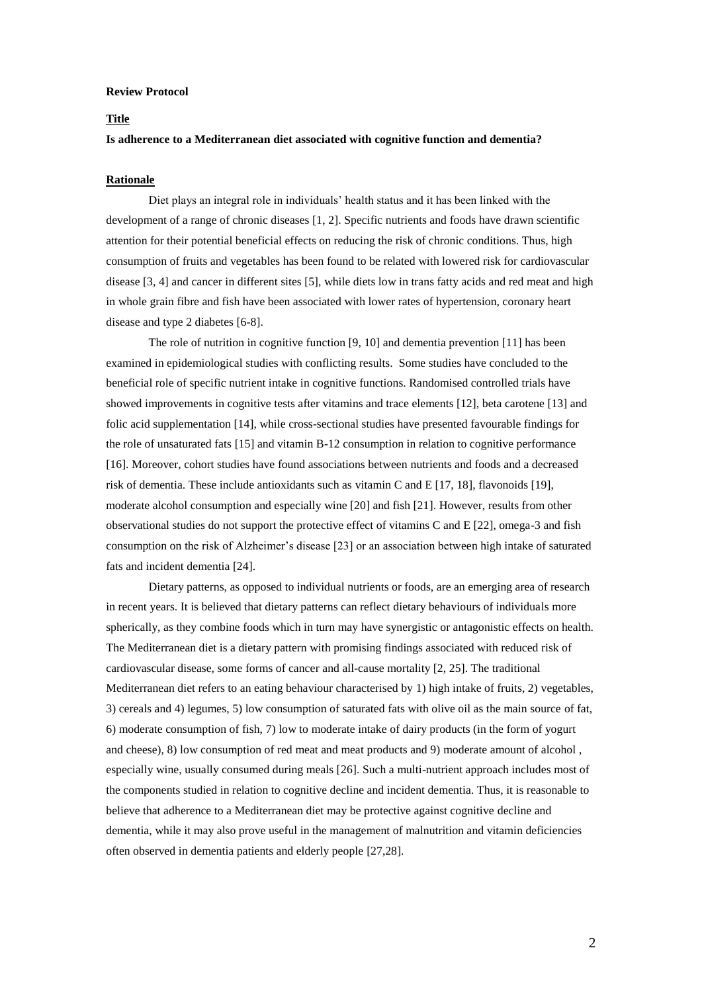#### **Review Protocol**

#### **Title**

### **Is adherence to a Mediterranean diet associated with cognitive function and dementia?**

### **Rationale**

Diet plays an integral role in individuals' health status and it has been linked with the development of a range of chronic diseases [1, 2]. Specific nutrients and foods have drawn scientific attention for their potential beneficial effects on reducing the risk of chronic conditions. Thus, high consumption of fruits and vegetables has been found to be related with lowered risk for cardiovascular disease [3, 4] and cancer in different sites [5], while diets low in trans fatty acids and red meat and high in whole grain fibre and fish have been associated with lower rates of hypertension, coronary heart disease and type 2 diabetes [6-8].

The role of nutrition in cognitive function [9, 10] and dementia prevention [11] has been examined in epidemiological studies with conflicting results. Some studies have concluded to the beneficial role of specific nutrient intake in cognitive functions. Randomised controlled trials have showed improvements in cognitive tests after vitamins and trace elements [12], beta carotene [13] and folic acid supplementation [14], while cross-sectional studies have presented favourable findings for the role of unsaturated fats [15] and vitamin B-12 consumption in relation to cognitive performance [16]. Moreover, cohort studies have found associations between nutrients and foods and a decreased risk of dementia. These include antioxidants such as vitamin C and E [17, 18], flavonoids [19], moderate alcohol consumption and especially wine [20] and fish [21]. However, results from other observational studies do not support the protective effect of vitamins C and E [22], omega-3 and fish consumption on the risk of Alzheimer's disease [23] or an association between high intake of saturated fats and incident dementia [24].

Dietary patterns, as opposed to individual nutrients or foods, are an emerging area of research in recent years. It is believed that dietary patterns can reflect dietary behaviours of individuals more spherically, as they combine foods which in turn may have synergistic or antagonistic effects on health. The Mediterranean diet is a dietary pattern with promising findings associated with reduced risk of cardiovascular disease, some forms of cancer and all-cause mortality [2, 25]. The traditional Mediterranean diet refers to an eating behaviour characterised by 1) high intake of fruits, 2) vegetables, 3) cereals and 4) legumes, 5) low consumption of saturated fats with olive oil as the main source of fat, 6) moderate consumption of fish, 7) low to moderate intake of dairy products (in the form of yogurt and cheese), 8) low consumption of red meat and meat products and 9) moderate amount of alcohol , especially wine, usually consumed during meals [26]. Such a multi-nutrient approach includes most of the components studied in relation to cognitive decline and incident dementia. Thus, it is reasonable to believe that adherence to a Mediterranean diet may be protective against cognitive decline and dementia, while it may also prove useful in the management of malnutrition and vitamin deficiencies often observed in dementia patients and elderly people [27,28].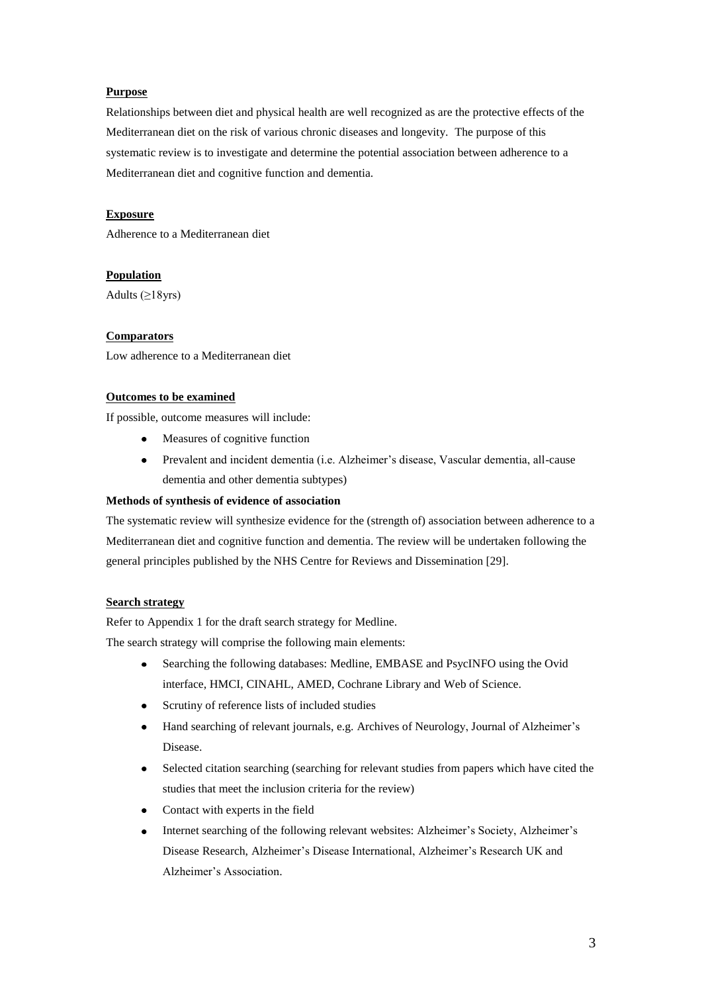# **Purpose**

Relationships between diet and physical health are well recognized as are the protective effects of the Mediterranean diet on the risk of various chronic diseases and longevity. The purpose of this systematic review is to investigate and determine the potential association between adherence to a Mediterranean diet and cognitive function and dementia.

# **Exposure**

Adherence to a Mediterranean diet

# **Population**

Adults  $(\geq 18$ yrs)

### **Comparators**

Low adherence to a Mediterranean diet

### **Outcomes to be examined**

If possible, outcome measures will include:

- Measures of cognitive function
- Prevalent and incident dementia (i.e. Alzheimer's disease, Vascular dementia, all-cause dementia and other dementia subtypes)

# **Methods of synthesis of evidence of association**

The systematic review will synthesize evidence for the (strength of) association between adherence to a Mediterranean diet and cognitive function and dementia. The review will be undertaken following the general principles published by the NHS Centre for Reviews and Dissemination [29].

### **Search strategy**

Refer to Appendix 1 for the draft search strategy for Medline.

The search strategy will comprise the following main elements:

- Searching the following databases: Medline, EMBASE and PsycINFO using the Ovid interface, HMCI, CINAHL, AMED, Cochrane Library and Web of Science.
- Scrutiny of reference lists of included studies
- Hand searching of relevant journals, e.g. Archives of Neurology, Journal of Alzheimer's Disease.
- Selected citation searching (searching for relevant studies from papers which have cited the studies that meet the inclusion criteria for the review)
- Contact with experts in the field
- Internet searching of the following relevant websites: Alzheimer's Society, Alzheimer's  $\bullet$ Disease Research, Alzheimer's Disease International, Alzheimer's Research UK and Alzheimer's Association.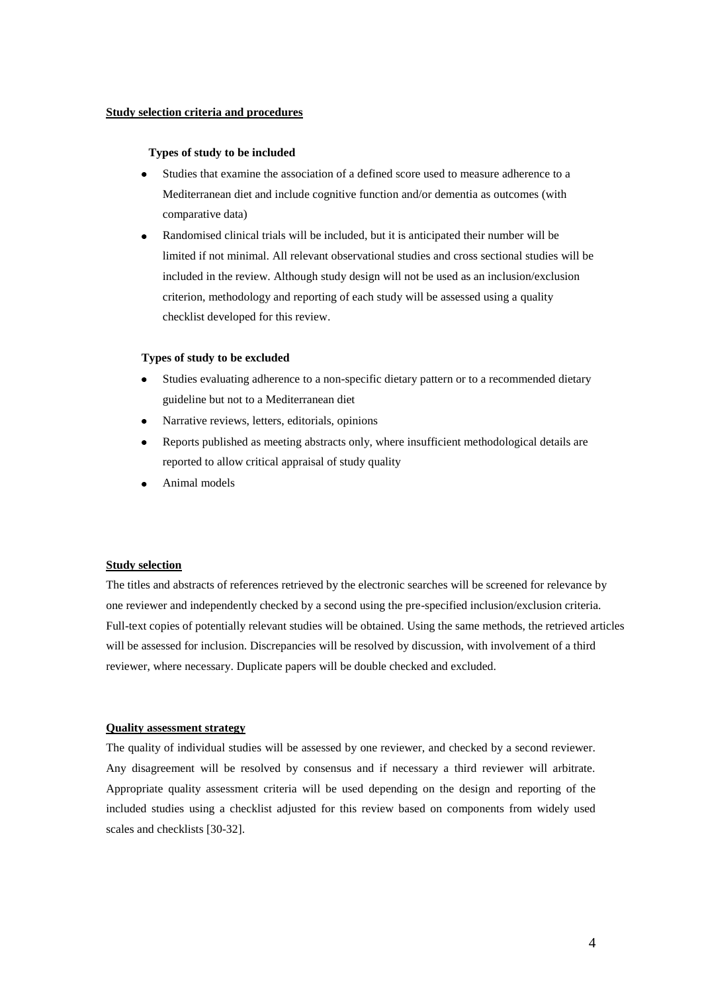#### **Study selection criteria and procedures**

#### **Types of study to be included**

- Studies that examine the association of a defined score used to measure adherence to a Mediterranean diet and include cognitive function and/or dementia as outcomes (with comparative data)
- Randomised clinical trials will be included, but it is anticipated their number will be limited if not minimal. All relevant observational studies and cross sectional studies will be included in the review. Although study design will not be used as an inclusion/exclusion criterion, methodology and reporting of each study will be assessed using a quality checklist developed for this review.

### **Types of study to be excluded**

- Studies evaluating adherence to a non-specific dietary pattern or to a recommended dietary  $\bullet$ guideline but not to a Mediterranean diet
- Narrative reviews, letters, editorials, opinions  $\bullet$
- $\bullet$ Reports published as meeting abstracts only, where insufficient methodological details are reported to allow critical appraisal of study quality
- Animal models

### **Study selection**

The titles and abstracts of references retrieved by the electronic searches will be screened for relevance by one reviewer and independently checked by a second using the pre-specified inclusion/exclusion criteria. Full-text copies of potentially relevant studies will be obtained. Using the same methods, the retrieved articles will be assessed for inclusion. Discrepancies will be resolved by discussion, with involvement of a third reviewer, where necessary. Duplicate papers will be double checked and excluded.

#### **Quality assessment strategy**

The quality of individual studies will be assessed by one reviewer, and checked by a second reviewer. Any disagreement will be resolved by consensus and if necessary a third reviewer will arbitrate. Appropriate quality assessment criteria will be used depending on the design and reporting of the included studies using a checklist adjusted for this review based on components from widely used scales and checklists [30-32].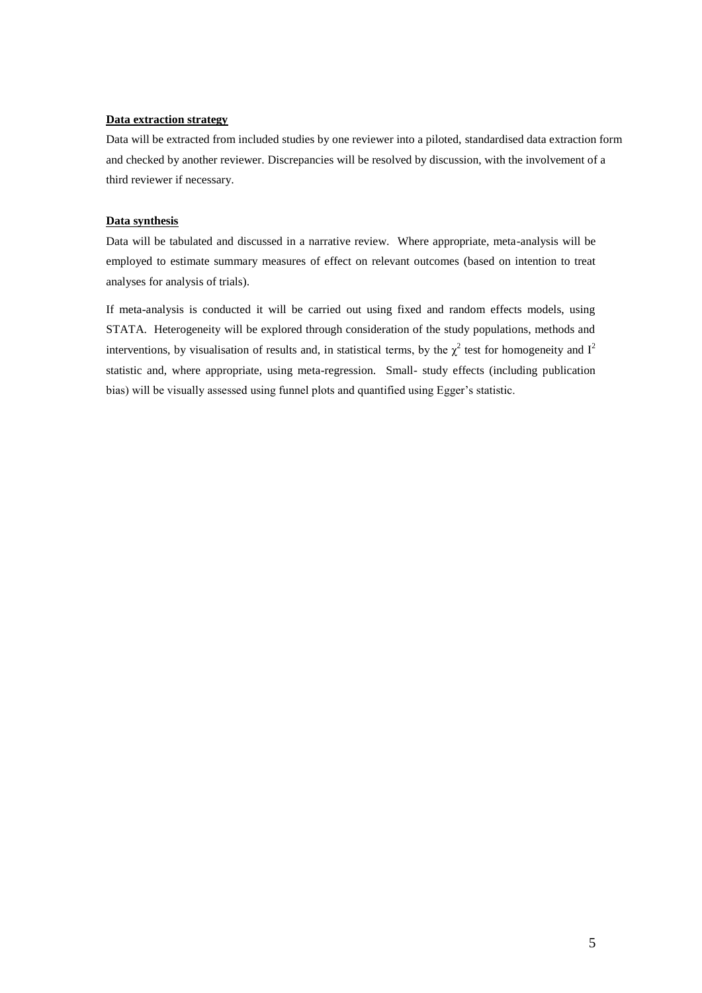### **Data extraction strategy**

Data will be extracted from included studies by one reviewer into a piloted, standardised data extraction form and checked by another reviewer. Discrepancies will be resolved by discussion, with the involvement of a third reviewer if necessary.

#### **Data synthesis**

Data will be tabulated and discussed in a narrative review. Where appropriate, meta-analysis will be employed to estimate summary measures of effect on relevant outcomes (based on intention to treat analyses for analysis of trials).

If meta-analysis is conducted it will be carried out using fixed and random effects models, using STATA. Heterogeneity will be explored through consideration of the study populations, methods and interventions, by visualisation of results and, in statistical terms, by the  $\chi^2$  test for homogeneity and  $I^2$ statistic and, where appropriate, using meta-regression. Small- study effects (including publication bias) will be visually assessed using funnel plots and quantified using Egger's statistic.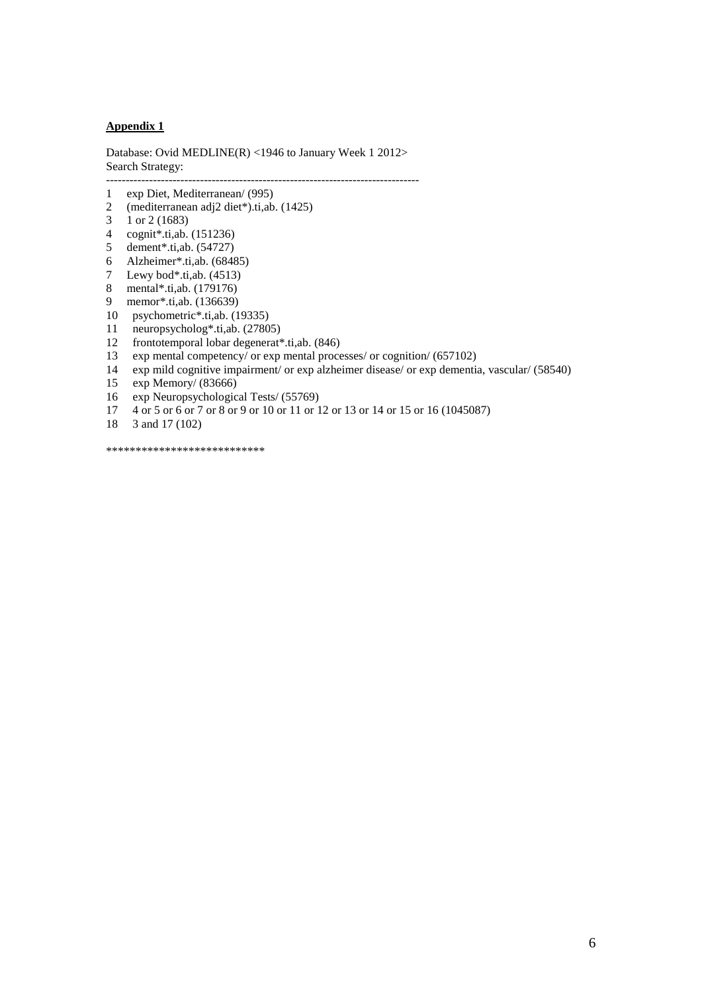### **Appendix 1**

Database: Ovid MEDLINE(R) <1946 to January Week 1 2012> Search Strategy:

--------------------------------------------------------------------------------

- 1 exp Diet, Mediterranean/ (995)
- 2 (mediterranean adj2 diet\*).ti,ab. (1425)
- 3 1 or 2 (1683)
- 4 cognit\*.ti,ab. (151236)
- 5 dement\*.ti,ab. (54727)
- 6 Alzheimer\*.ti,ab. (68485)
- 7 Lewy bod\*.ti,ab. (4513)
- 8 mental\*.ti,ab. (179176)
- 9 memor\*.ti,ab. (136639)
- 10 psychometric\*.ti,ab. (19335)
- 11 neuropsycholog\*.ti,ab. (27805)<br>12 frontotemporal lobar degenerat<sup>\*</sup>
- 12 frontotemporal lobar degenerat\*.ti,ab. (846)<br>13 exp mental competency/ or exp mental proce
- 13 exp mental competency/ or exp mental processes/ or cognition/ (657102)<br>14 exp mild cognitive impairment/ or exp alzheimer disease/ or exp demential
- exp mild cognitive impairment/ or exp alzheimer disease/ or exp dementia, vascular/ (58540)
- 15 exp Memory/ (83666)<br>16 exp Neuropsychologic
- exp Neuropsychological Tests/ (55769)
- 17 4 or 5 or 6 or 7 or 8 or 9 or 10 or 11 or 12 or 13 or 14 or 15 or 16 (1045087)
- 18 3 and 17 (102)

\*\*\*\*\*\*\*\*\*\*\*\*\*\*\*\*\*\*\*\*\*\*\*\*\*\*\*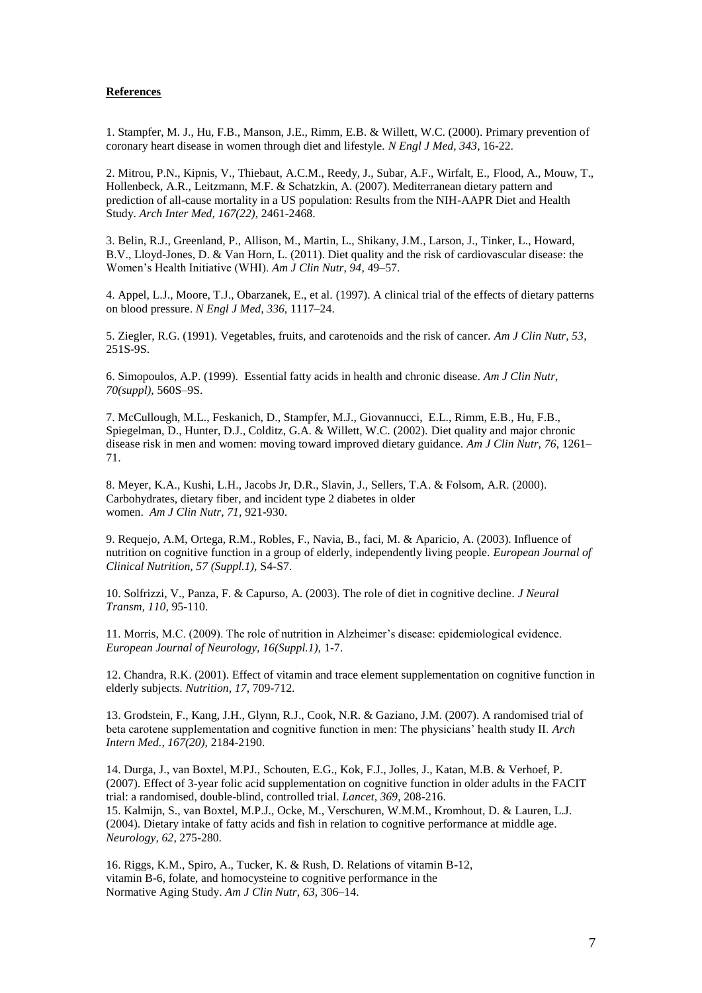#### **References**

1. Stampfer, M. J., Hu, F.B., Manson, J.E., Rimm, E.B. & Willett, W.C. (2000). Primary prevention of coronary heart disease in women through diet and lifestyle. *N Engl J Med, 343*, 16-22.

2. Mitrou, P.N., Kipnis, V., Thiebaut, A.C.M., Reedy, J., Subar, A.F., Wirfalt, E., Flood, A., Mouw, T., Hollenbeck, A.R., Leitzmann, M.F. & Schatzkin, A. (2007). Mediterranean dietary pattern and prediction of all-cause mortality in a US population: Results from the NIH-AAPR Diet and Health Study. *Arch Inter Med, 167(22)*, 2461-2468.

3. Belin, R.J., Greenland, P., Allison, M., Martin, L., Shikany, J.M., Larson, J., Tinker, L., Howard, B.V., Lloyd-Jones, D. & Van Horn, L. (2011). Diet quality and the risk of cardiovascular disease: the Women's Health Initiative (WHI). *Am J Clin Nutr, 94*, 49–57.

4. Appel, L.J., Moore, T.J., Obarzanek, E., et al. (1997). A clinical trial of the effects of dietary patterns on blood pressure. *N Engl J Med, 336,* 1117–24.

5. Ziegler, R.G. (1991). Vegetables, fruits, and carotenoids and the risk of cancer. *Am J Clin Nutr, 53*, 251S-9S.

6. Simopoulos, A.P. (1999). Essential fatty acids in health and chronic disease. *Am J Clin Nutr, 70(suppl),* 560S–9S.

7. McCullough, M.L., Feskanich, D., Stampfer, M.J., Giovannucci, E.L., Rimm, E.B., Hu, F.B., Spiegelman, D., Hunter, D.J., Colditz, G.A. & Willett, W.C. (2002). Diet quality and major chronic disease risk in men and women: moving toward improved dietary guidance. *Am J Clin Nutr, 76*, 1261– 71.

8. Meyer, K.A., Kushi, L.H., Jacobs Jr, D.R., Slavin, J., Sellers, T.A. & Folsom, A.R. (2000). Carbohydrates, dietary fiber, and incident type 2 diabetes in older women. *Am J Clin Nutr, 71,* 921-930.

9. Requejo, A.M, Ortega, R.M., Robles, F., Navia, B., faci, M. & Aparicio, A. (2003). Influence of nutrition on cognitive function in a group of elderly, independently living people. *European Journal of Clinical Nutrition, 57 (Suppl.1),* S4-S7.

10. Solfrizzi, V., Panza, F. & Capurso, A. (2003). The role of diet in cognitive decline*. J Neural Transm, 110,* 95-110.

11. Morris, M.C. (2009). The role of nutrition in Alzheimer's disease: epidemiological evidence. *European Journal of Neurology, 16(Suppl.1),* 1-7.

12. Chandra, R.K. (2001). Effect of vitamin and trace element supplementation on cognitive function in elderly subjects. *Nutrition, 17*, 709-712.

13. Grodstein, F., Kang, J.H., Glynn, R.J., Cook, N.R. & Gaziano, J.M. (2007). A randomised trial of beta carotene supplementation and cognitive function in men: The physicians' health study II. *Arch Intern Med., 167(20),* 2184-2190.

14. Durga, J., van Boxtel, M.PJ., Schouten, E.G., Kok, F.J., Jolles, J., Katan, M.B. & Verhoef, P. (2007). Effect of 3-year folic acid supplementation on cognitive function in older adults in the FACIT trial: a randomised, double-blind, controlled trial. *Lancet, 369*, 208-216. 15. Kalmijn, S., van Boxtel, M.P.J., Ocke, M., Verschuren, W.M.M., Kromhout, D. & Lauren, L.J. (2004). Dietary intake of fatty acids and fish in relation to cognitive performance at middle age. *Neurology, 62*, 275-280.

16. Riggs, K.M., Spiro, A., Tucker, K. & Rush, D. Relations of vitamin B-12, vitamin B-6, folate, and homocysteine to cognitive performance in the Normative Aging Study. *Am J Clin Nutr*, *63,* 306–14.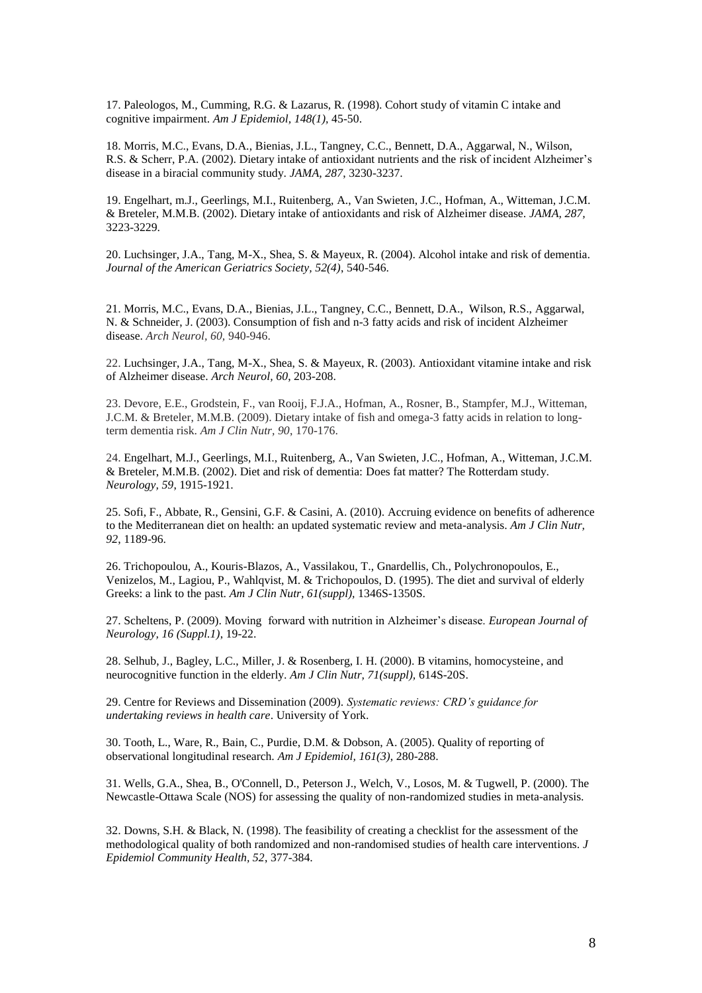17. Paleologos, M., Cumming, R.G. & Lazarus, R. (1998). Cohort study of vitamin C intake and cognitive impairment. *Am J Epidemiol, 148(1),* 45-50.

18. Morris, M.C., Evans, D.A., Bienias, J.L., Tangney, C.C., Bennett, D.A., Aggarwal, N., Wilson, R.S. & Scherr, P.A. (2002). Dietary intake of antioxidant nutrients and the risk of incident Alzheimer's disease in a biracial community study. *JAMA, 287*, 3230-3237.

19. Engelhart, m.J., Geerlings, M.I., Ruitenberg, A., Van Swieten, J.C., Hofman, A., Witteman, J.C.M. & Breteler, M.M.B. (2002). Dietary intake of antioxidants and risk of Alzheimer disease. *JAMA, 287,* 3223-3229.

20. Luchsinger, J.A., Tang, M-X., Shea, S. & Mayeux, R. (2004). Alcohol intake and risk of dementia. *Journal of the American Geriatrics Society, 52(4)*, 540-546.

21. Morris, M.C., Evans, D.A., Bienias, J.L., Tangney, C.C., Bennett, D.A., Wilson, R.S., Aggarwal, N. & Schneider, J. (2003). Consumption of fish and n-3 fatty acids and risk of incident Alzheimer disease. *Arch Neurol, 60,* 940-946.

22. Luchsinger, J.A., Tang, M-X., Shea, S. & Mayeux, R. (2003). Antioxidant vitamine intake and risk of Alzheimer disease. *Arch Neurol, 60*, 203-208.

23. Devore, E.E., Grodstein, F., van Rooij, F.J.A., Hofman, A., Rosner, B., Stampfer, M.J., Witteman, J.C.M. & Breteler, M.M.B. (2009). Dietary intake of fish and omega-3 fatty acids in relation to longterm dementia risk. *Am J Clin Nutr, 90*, 170-176.

24. Engelhart, M.J., Geerlings, M.I., Ruitenberg, A., Van Swieten, J.C., Hofman, A., Witteman, J.C.M. & Breteler, M.M.B. (2002). Diet and risk of dementia: Does fat matter? The Rotterdam study. *Neurology, 59*, 1915-1921.

25. Sofi, F., Abbate, R., Gensini, G.F. & Casini, A. (2010). Accruing evidence on benefits of adherence to the Mediterranean diet on health: an updated systematic review and meta-analysis. *Am J Clin Nutr, 92*, 1189-96.

26. Trichopoulou, A., Kouris-Blazos, A., Vassilakou, T., Gnardellis, Ch., Polychronopoulos, E., Venizelos, M., Lagiou, P., Wahlqvist, M. & Trichopoulos, D. (1995). The diet and survival of elderly Greeks: a link to the past. *Am J Clin Nutr, 61(suppl),* 1346S-1350S.

27. Scheltens, P. (2009). Moving forward with nutrition in Alzheimer's disease. *European Journal of Neurology, 16 (Suppl.1)*, 19-22.

28. Selhub, J., Bagley, L.C., Miller, J. & Rosenberg, I. H. (2000). B vitamins, homocysteine, and neurocognitive function in the elderly. *Am J Clin Nutr, 71(suppl),* 614S-20S.

29. Centre for Reviews and Dissemination (2009). *Systematic reviews: CRD's guidance for undertaking reviews in health care*. University of York.

30. Tooth, L., Ware, R., Bain, C., Purdie, D.M. & Dobson, A. (2005). Quality of reporting of observational longitudinal research. *Am J Epidemiol, 161(3)*, 280-288.

31. Wells, G.A., Shea, B., O'Connell, D., Peterson J., Welch, V., Losos, M. & Tugwell, P. (2000). The Newcastle-Ottawa Scale (NOS) for assessing the quality of non-randomized studies in meta-analysis.

32. Downs, S.H. & Black, N. (1998). The feasibility of creating a checklist for the assessment of the methodological quality of both randomized and non-randomised studies of health care interventions. *J Epidemiol Community Health, 52*, 377-384.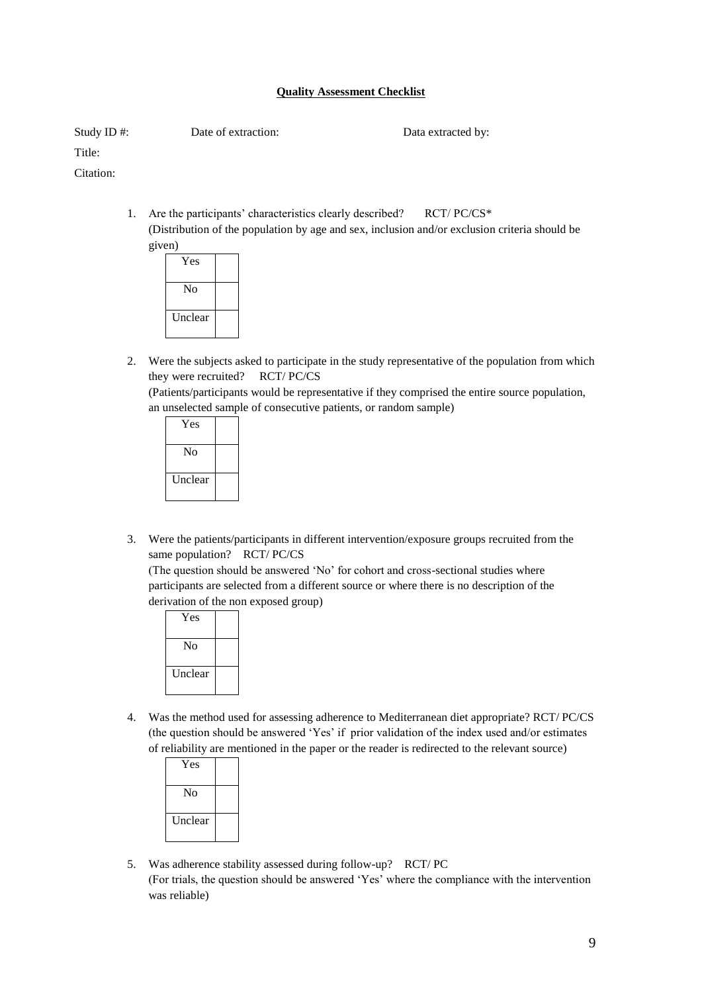# **Quality Assessment Checklist**

Study ID #: Date of extraction: Data extracted by:

Title:

Citation:

1. Are the participants' characteristics clearly described? RCT/PC/CS\* (Distribution of the population by age and sex, inclusion and/or exclusion criteria should be given)



2. Were the subjects asked to participate in the study representative of the population from which they were recruited? RCT/ PC/CS

(Patients/participants would be representative if they comprised the entire source population, an unselected sample of consecutive patients, or random sample)

| Yes     |  |
|---------|--|
| Nο      |  |
| Unclear |  |

3. Were the patients/participants in different intervention/exposure groups recruited from the same population? RCT/ PC/CS

(The question should be answered 'No' for cohort and cross-sectional studies where participants are selected from a different source or where there is no description of the derivation of the non exposed group)

| Yes     |  |
|---------|--|
| Nο      |  |
| Unclear |  |

4. Was the method used for assessing adherence to Mediterranean diet appropriate? RCT/ PC/CS (the question should be answered 'Yes' if prior validation of the index used and/or estimates of reliability are mentioned in the paper or the reader is redirected to the relevant source)

| Yes     |  |
|---------|--|
| Nο      |  |
| Unclear |  |

5. Was adherence stability assessed during follow-up? RCT/ PC (For trials, the question should be answered 'Yes' where the compliance with the intervention was reliable)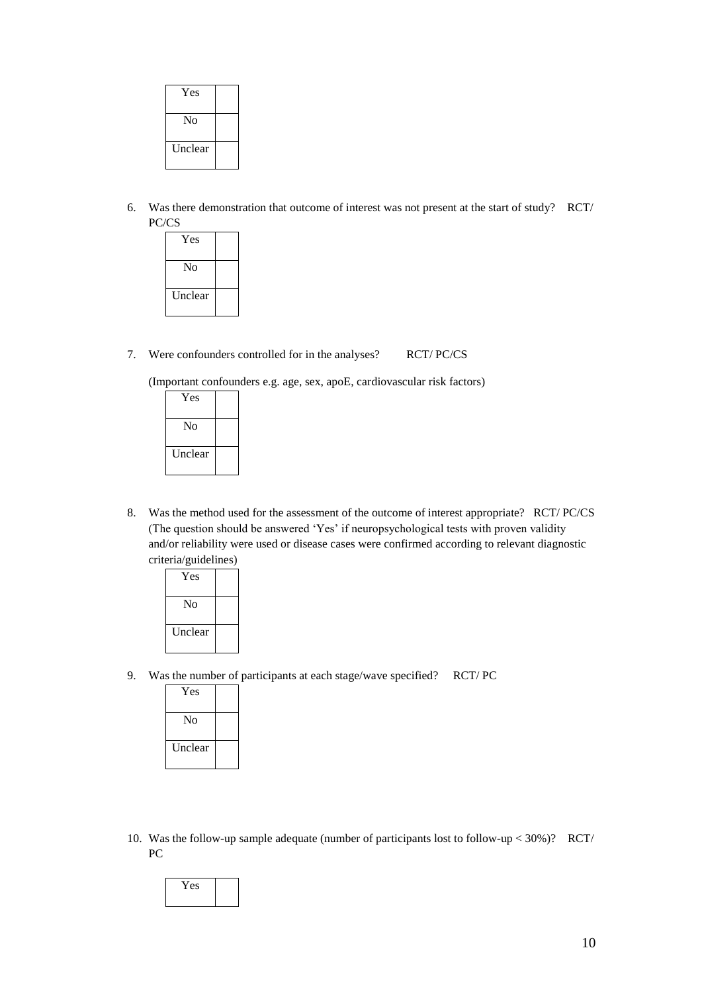| Yes     |  |
|---------|--|
| No      |  |
| Unclear |  |

- 6. Was there demonstration that outcome of interest was not present at the start of study? RCT/ PC/CS
	- Yes No Unclear
- 7. Were confounders controlled for in the analyses? RCT/ PC/CS

(Important confounders e.g. age, sex, apoE, cardiovascular risk factors)

| Yes            |  |
|----------------|--|
| Nο             |  |
| <b>Unclear</b> |  |

- 8. Was the method used for the assessment of the outcome of interest appropriate? RCT/ PC/CS (The question should be answered 'Yes' if neuropsychological tests with proven validity and/or reliability were used or disease cases were confirmed according to relevant diagnostic criteria/guidelines)
	- Yes No Unclear
- 9. Was the number of participants at each stage/wave specified? RCT/ PC

| Yes            |  |
|----------------|--|
| Nο             |  |
| <b>Unclear</b> |  |

10. Was the follow-up sample adequate (number of participants lost to follow-up < 30%)? RCT/ PC

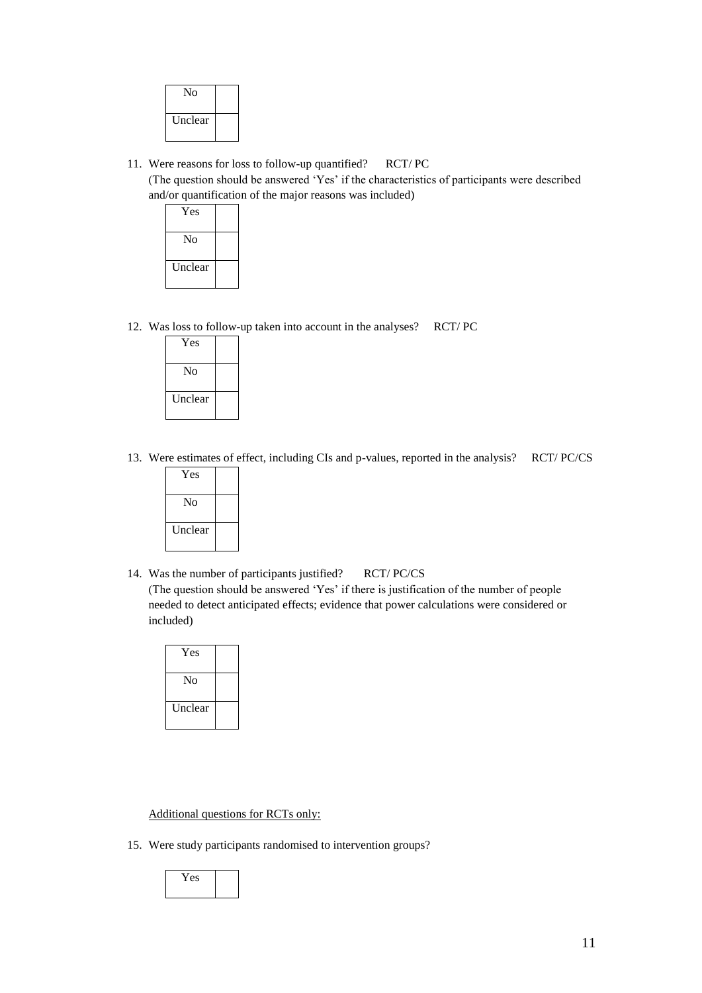| No      |  |
|---------|--|
| Unclear |  |

11. Were reasons for loss to follow-up quantified? RCT/ PC

(The question should be answered 'Yes' if the characteristics of participants were described and/or quantification of the major reasons was included)

| Yes     |  |
|---------|--|
| Nο      |  |
| Unclear |  |

12. Was loss to follow-up taken into account in the analyses? RCT/ PC

| Yes     |  |
|---------|--|
| No      |  |
| Unclear |  |

13. Were estimates of effect, including CIs and p-values, reported in the analysis? RCT/ PC/CS

| Yes            |  |
|----------------|--|
| No             |  |
| <b>Unclear</b> |  |

14. Was the number of participants justified? RCT/ PC/CS (The question should be answered 'Yes' if there is justification of the number of people needed to detect anticipated effects; evidence that power calculations were considered or included)

| Yes     |  |
|---------|--|
| No      |  |
| Unclear |  |

### Additional questions for RCTs only:

15. Were study participants randomised to intervention groups?